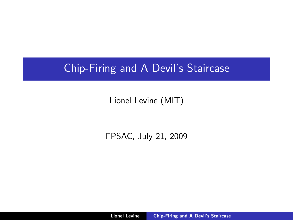# Chip-Firing and A Devil's Staircase

## Lionel Levine (MIT)

FPSAC, July 21, 2009

<span id="page-0-0"></span>Lionel Levine [Chip-Firing and A Devil's Staircase](#page-30-0)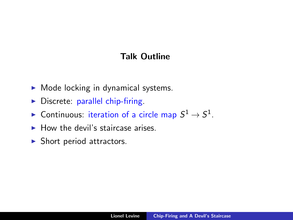## Talk Outline

- $\triangleright$  Mode locking in dynamical systems.
- $\triangleright$  Discrete: parallel chip-firing.
- $\blacktriangleright$  Continuous: iteration of a circle map  $S^1 \to S^1.$
- $\blacktriangleright$  How the devil's staircase arises.
- $\blacktriangleright$  Short period attractors.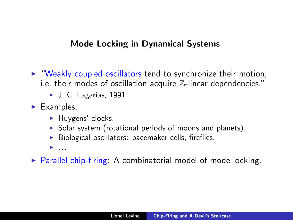## Mode Locking in Dynamical Systems

- $\triangleright$  "Weakly coupled oscillators tend to synchronize their motion, i.e. their modes of oscillation acquire Z-linear dependencies."
	- $\blacktriangleright$  J. C. Lagarias, 1991.
- $\blacktriangleright$  Examples:
	- $\blacktriangleright$  Huygens' clocks.
	- $\triangleright$  Solar system (rotational periods of moons and planets).
	- $\triangleright$  Biological oscillators: pacemaker cells, fireflies.
	- $\blacktriangleright$  ...
- $\triangleright$  Parallel chip-firing: A combinatorial model of mode locking.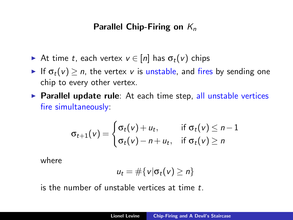## Parallel Chip-Firing on  $K_n$

- At time t, each vertex  $v \in [n]$  has  $\sigma_t(v)$  chips
- If  $\sigma_t(v) \geq n$ , the vertex v is unstable, and fires by sending one chip to every other vertex.
- $\triangleright$  Parallel update rule: At each time step, all unstable vertices fire simultaneously:

$$
\sigma_{t+1}(v) = \begin{cases} \sigma_t(v) + u_t, & \text{if } \sigma_t(v) \leq n-1 \\ \sigma_t(v) - n + u_t, & \text{if } \sigma_t(v) \geq n \end{cases}
$$

where

$$
u_t = \#\{v | \sigma_t(v) \geq n\}
$$

is the number of unstable vertices at time t.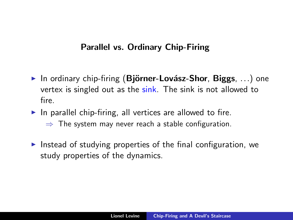## Parallel vs. Ordinary Chip-Firing

- In ordinary chip-firing (Björner-Lovász-Shor, Biggs, ...) one vertex is singled out as the sink. The sink is not allowed to fire.
- In parallel chip-firing, all vertices are allowed to fire.
	- $\Rightarrow$  The system may never reach a stable configuration.
- Instead of studying properties of the final configuration, we study properties of the dynamics.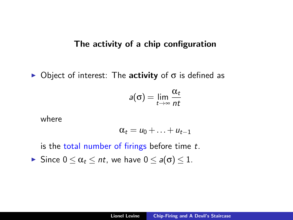#### The activity of a chip configuration

 $\triangleright$  Object of interest: The activity of σ is defined as

$$
a(\sigma)=\lim_{t\to\infty}\frac{\alpha_t}{nt}
$$

where

$$
\alpha_t = u_0 + \ldots + u_{t-1}
$$

is the total number of firings before time t.

Since  $0 \leq \alpha_t \leq nt$ , we have  $0 \leq a(\sigma) \leq 1$ .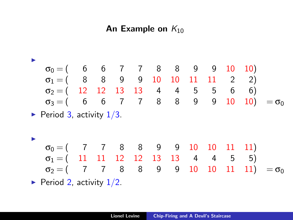## An Example on  $K_{10}$

#### I

 $\sigma_0 = ( \quad 6 \quad 6 \quad 7 \quad 7 \quad 8 \quad 8 \quad 9 \quad 9 \quad 10 \quad 10)$  $\sigma_1 = ( \quad \ \, 8 \quad \ \, 8 \quad \ \, 9 \quad \ \, 9 \quad \, 10 \quad 10 \quad 11 \quad 11 \quad \ \, 2 \quad \, 2)$  $\sigma_2 = ($  12 12 13 13 4 4 5 5 6 6) σ<sup>3</sup> = ( 6 6 7 7 8 8 9 9 10 10) = σ<sup>0</sup>

Period 3, activity  $1/3$ .

## I  $\sigma_0 = ($  7 7 8 8 9 9 10 10 11 11)  $\sigma_1 = ($  11 11 12 12 13 13 4 4 5 5)  $\sigma_2 = (7 \quad 7 \quad 8 \quad 8 \quad 9 \quad 9 \quad 10 \quad 10 \quad 11 \quad 11) = \sigma_0$

Period 2, activity  $1/2$ .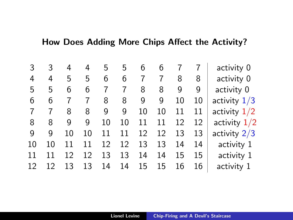## How Does Adding More Chips Affect the Activity?

| activity 0     |    |    | 6  | 6  | 5  | 5  | 4  | 4  | 3  | 3  |
|----------------|----|----|----|----|----|----|----|----|----|----|
| activity 0     | 8  | 8  |    |    | 6  | 6  | 5  | 5  | 4  | 4  |
| activity 0     | 9  | 9  | 8  | 8  |    |    | 6  | 6  | 5  | 5  |
| activity $1/3$ | 10 | 10 | 9  | 9  | 8  | 8  |    |    | 6  | 6  |
| activity $1/2$ | 11 | 11 | 10 | 10 | g  | 9  | 8  | 8  |    |    |
| activity $1/2$ | 12 | 12 | 11 | 11 | 10 | 10 | g  | q  | 8  | 8  |
| activity $2/3$ | 13 | 13 | 12 | 12 | 11 | 11 | 10 | 10 | q  | q  |
| activity 1     | 14 | 14 | 13 | 13 | 12 | 12 | 11 | 11 | 10 | 10 |
| activity 1     | 15 | 15 | 14 | 14 | 13 | 13 | 12 | 12 |    | 11 |
| activity 1     | 16 | 16 | 15 | 15 | 14 | 14 | 13 | 13 |    | 12 |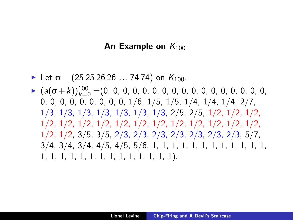#### An Example on  $K_{100}$

- Exercise Let  $\sigma = (25\,25\,26\,26\,...\,74\,74)$  on  $K_{100}$ .
- <sup>I</sup> (a(σ+k))<sup>100</sup> <sup>k</sup>=0 =(0, 0, 0, 0, 0, 0, 0, 0, 0, 0, 0, 0, 0, 0, 0, 0, 0, 0, 0, 0, 0, 0, 0, 0, 0, 0,  $1/6$ ,  $1/5$ ,  $1/5$ ,  $1/4$ ,  $1/4$ ,  $1/4$ ,  $2/7$ , 1/3, 1/3, 1/3, 1/3, 1/3, 1/3, 1/3, 2/5, 2/5, 1/2, 1/2, 1/2, 1/2, 1/2, 1/2, 1/2, 1/2, 1/2, 1/2, 1/2, 1/2, 1/2, 1/2, 1/2, 1/2, 1/2, 3/5, 3/5, 2/3, 2/3, 2/3, 2/3, 2/3, 2/3, 2/3, 5/7, 3/4, 3/4, 3/4, 4/5, 4/5, 5/6, 1, 1, 1, 1, 1, 1, 1, 1, 1, 1, 1, 1, 1, 1, 1, 1, 1, 1, 1, 1, 1, 1, 1, 1, 1, 1).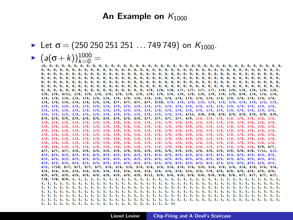#### An Example on  $K_{1000}$

Elet  $\sigma = (250\,250\,251\,251\,\ldots\,749\,749)$  on  $K_{1000}$ .

 $\blacktriangleright$   $(a(\sigma+k))_{k=0}^{1000}$  =

 $\Omega$  $0.0.0.0.$  $0, 0, 0, 0, 0, 0, 0, 0, 0, 0, 0,$  $0, 0, 0, 0, 0, 0, 0.$  $0.0.0.$  $1/2$ ,  $1/2$ ,  $1/2$ ,  $1/2$ ,  $1/2$ ,  $1/2$ ,  $1/2$ ,  $1/2$ ,  $1/2$ ,  $1/2$ ,  $1/2$ ,  $1/2$ ,  $1/2$ ,  $1/2$ ,  $1/2$ ,  $1/2$ ,  $1/2$ ,  $1/2$ ,  $1/2$ ,  $1/2$ ,  $1/2$ ,  $1/2$ ,  $1/2$ ,  $1/2$ ,  $1/2$ ,  $1/2$ ,  $1/2$ ,  $1/2$ ,  $1/2$ ,  $1/2$ ,  $1/2$ ,  $1/2$  $1/2$ ,  $1/2$ ,  $1/2$ ,  $1/2$ ,  $1/2$ ,  $1/2$ ,  $1/2$ ,  $1/2$ ,  $1/2$ ,  $1/2$ ,  $1/2$ ,  $1/2$ ,  $1/2$ ,  $1/2$ ,  $1/2$ ,  $1/2$ ,  $1/2$ ,  $1/2$ ,  $1/2$ ,  $1/2$ ,  $1/2$ ,  $1/2$ ,  $1/2$ ,  $1/2$ ,  $1/2$ ,  $1/2$ ,  $1/2$ ,  $1/2$ ,  $1/2$ ,  $1/2$ ,  $1/2$ ,  $1/2$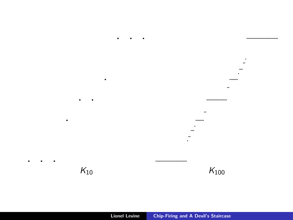





















**Contract Contract**  $\blacksquare$ 



 $\blacksquare$  $\blacksquare$ 

 $\blacksquare$ 

 $\blacksquare$  $\bullet$  $\sim$   $\bullet$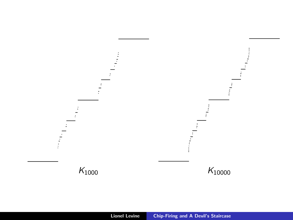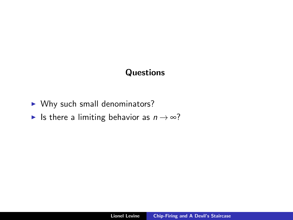## **Questions**

- $\triangleright$  Why such small denominators?
- In Its there a limiting behavior as  $n \to \infty$ ?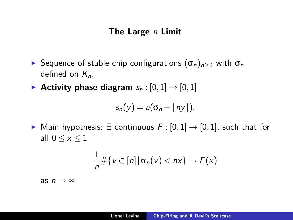### The Large  $n$  Limit

- ► Sequence of stable chip configurations  $(σ<sub>n</sub>)<sub>n>2</sub>$  with  $σ<sub>n</sub>$ defined on  $K_n$ .
- Activity phase diagram  $s_n : [0,1] \rightarrow [0,1]$

$$
s_n(y)=a(\sigma_n+\lfloor ny\rfloor).
$$

► Main hypothesis:  $\exists$  continuous  $F : [0,1] \rightarrow [0,1]$ , such that for all  $0 < x < 1$ 

$$
\frac{1}{n}\#\{v\in[n] \,|\, \sigma_n(v)< nx\}\to F(x)
$$

as  $n \to \infty$ .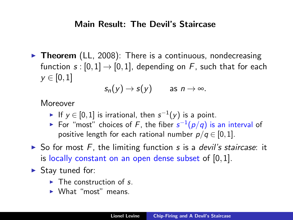#### Main Result: The Devil's Staircase

 $\triangleright$  Theorem (LL, 2008): There is a continuous, nondecreasing function  $s : [0,1] \rightarrow [0,1]$ , depending on F, such that for each  $y \in [0,1]$ 

$$
s_n(y) \to s(y) \quad \text{as } n \to \infty.
$$

Moreover

- ► If  $y \in [0,1]$  is irrational, then  $s^{-1}(y)$  is a point.
- ► For "most" choices of F, the fiber  $s^{-1}(p/q)$  is an interval of positive length for each rational number  $p/q \in [0,1]$ .
- $\triangleright$  So for most F, the limiting function s is a *devil's staircase*: it is locally constant on an open dense subset of  $[0,1]$ .
- $\blacktriangleright$  Stay tuned for:
	- $\blacktriangleright$  The construction of s.
	- $\blacktriangleright$  What "most" means.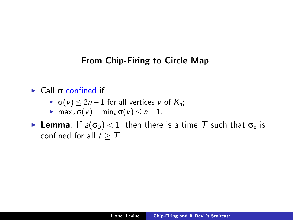### From Chip-Firing to Circle Map

## $\triangleright$  Call  $\sigma$  confined if

- $\triangleright$   $\sigma(v)$  ≤ 2*n* − 1 for all vertices v of  $K_n$ ;
- $\blacksquare$  max<sub>v</sub> σ(*v*) min<sub>v</sub> σ(*v*) ≤ *n* 1.
- $\blacktriangleright$  Lemma: If  $a(\sigma_0) < 1$ , then there is a time  $\tau$  such that  $\sigma_t$  is confined for all  $t \geq T$ .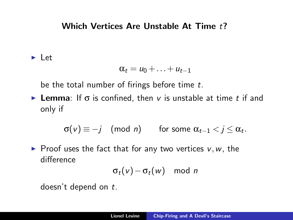#### Which Vertices Are Unstable At Time t?

 $\blacktriangleright$  Let

$$
\alpha_t = u_0 + \ldots + u_{t-1}
$$

be the total number of firings before time t.

**Lemma**: If  $\sigma$  is confined, then v is unstable at time t if and only if

$$
\sigma(v) \equiv -j \pmod{n} \qquad \text{for some } \alpha_{t-1} < j \leq \alpha_t.
$$

Proof uses the fact that for any two vertices  $v, w$ , the difference

$$
\sigma_t(v)-\sigma_t(w) \mod n
$$

doesn't depend on t.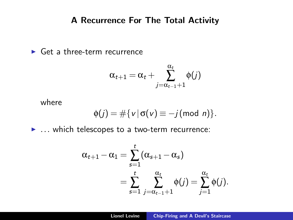## A Recurrence For The Total Activity

 $\blacktriangleright$  Get a three-term recurrence

$$
\alpha_{t+1} = \alpha_t + \sum_{j=\alpha_{t-1}+1}^{\alpha_t} \phi(j)
$$

where

$$
\phi(j) = \#\{v \,|\, \sigma(v) \equiv -j \,(\text{mod } n)\}.
$$

 $\blacktriangleright$  ... which telescopes to a two-term recurrence:

$$
\begin{aligned} \alpha_{t+1}-\alpha_1 &= \sum_{s=1}^t (\alpha_{s+1}-\alpha_s) \\ &= \sum_{s=1}^t \sum_{j=\alpha_{t-1}+1}^{\alpha_t} \phi(j) = \sum_{j=1}^{\alpha_t} \phi(j). \end{aligned}
$$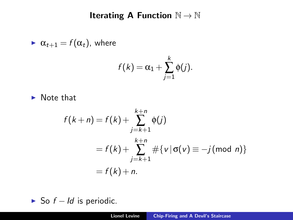## Iterating A Function  $\mathbb{N} \to \mathbb{N}$

$$
\triangleright \alpha_{t+1} = f(\alpha_t), \text{ where}
$$
\n
$$
f(k) = \alpha_1 + \sum_{j=1}^k \phi(j).
$$

 $\blacktriangleright$  Note that

$$
f(k+n) = f(k) + \sum_{j=k+1}^{k+n} \phi(j)
$$
  
=  $f(k) + \sum_{j=k+1}^{k+n} \# \{v | \sigma(v) \equiv -j \pmod{n} \}$   
=  $f(k) + n$ .

► So  $f - Id$  is periodic.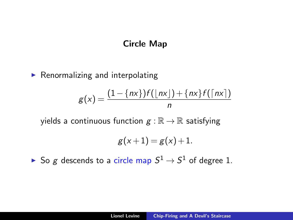### Circle Map

 $\blacktriangleright$  Renormalizing and interpolating

$$
g(x) = \frac{(1 - \{nx\})f(\lfloor nx \rfloor) + \{nx\}f(\lceil nx \rceil)}{n}
$$

yields a continuous function  $g : \mathbb{R} \to \mathbb{R}$  satisfying

$$
g(x+1)=g(x)+1.
$$

 $\blacktriangleright$  So  $g$  descends to a circle map  $S^1 \to S^1$  of degree 1.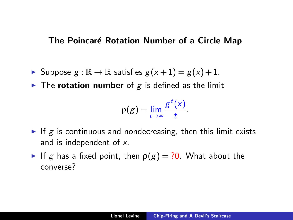#### The Poincaré Rotation Number of a Circle Map

- ► Suppose  $g : \mathbb{R} \to \mathbb{R}$  satisfies  $g(x+1) = g(x)+1$ .
- $\blacktriangleright$  The rotation number of g is defined as the limit

$$
\rho(g) = \lim_{t \to \infty} \frac{g^t(x)}{t}.
$$

- If  $g$  is continuous and nondecreasing, then this limit exists and is independent of  $x$ .
- If g has a fixed point, then  $p(g) = ?0$ . What about the converse?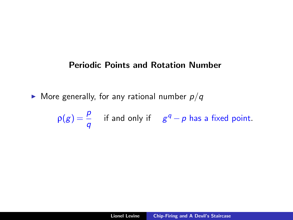#### Periodic Points and Rotation Number

 $\blacktriangleright$  More generally, for any rational number  $p/q$ 

$$
\rho(g) = \frac{p}{q}
$$
 if and only if  $g^q - p$  has a fixed point.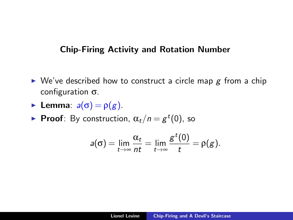#### Chip-Firing Activity and Rotation Number

- $\triangleright$  We've described how to construct a circle map g from a chip configuration  $\sigma$ .
- **Lemma**:  $a(\sigma) = \rho(g)$ .
- **Proof**: By construction,  $\alpha_t/n = g^t(0)$ , so

$$
a(\sigma) = \lim_{t \to \infty} \frac{\alpha_t}{nt} = \lim_{t \to \infty} \frac{g^t(0)}{t} = \rho(g).
$$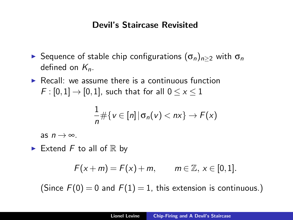## Devil's Staircase Revisited

- ► Sequence of stable chip configurations  $(σ<sub>n</sub>)<sub>n>2</sub>$  with  $σ<sub>n</sub>$ defined on  $K_n$ .
- $\triangleright$  Recall: we assume there is a continuous function  $F : [0,1] \rightarrow [0,1]$ , such that for all  $0 \le x \le 1$

$$
\frac{1}{n}\#\{v\in[n] \,|\, \sigma_n(v)< nx\}\to F(x)
$$

as  $n \to \infty$ 

Extend F to all of  $\mathbb R$  by

$$
F(x+m) = F(x) + m, \qquad m \in \mathbb{Z}, x \in [0,1].
$$

(Since  $F(0) = 0$  and  $F(1) = 1$ , this extension is continuous.)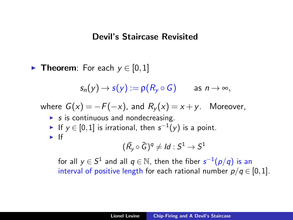#### Devil's Staircase Revisited

**► Theorem**: For each  $y \in [0,1]$ 

 $s_n(y) \to s(y) := \rho(R_v \circ G)$  as  $n \to \infty$ ,

where  $G(x) = -F(-x)$ , and  $R_v(x) = x + y$ . Moreover,

- $\triangleright$  s is continuous and nondecreasing.
- ► If  $y \in [0,1]$  is irrational, then  $s^{-1}(y)$  is a point.
- $\blacktriangleright$  If

$$
(\bar{R_y}\circ \bar{G})^q\neq Id:S^1\to S^1
$$

for all  $y\in S^1$  and all  $q\in \mathbb{N},$  then the fiber  $s^{-1}(p/q)$  is an interval of positive length for each rational number  $p/q \in [0,1]$ .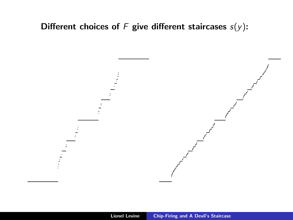## Different choices of  $F$  give different staircases  $s(y)$ :

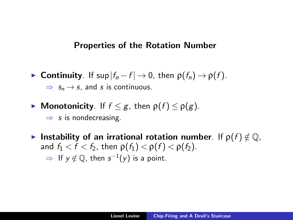#### Properties of the Rotation Number

- **► Continuity**. If sup  $|f_n f| \to 0$ , then  $\rho(f_n) \to \rho(f)$ .  $\Rightarrow$   $s_n \rightarrow s$ , and s is continuous.
- **Monotonicity**. If  $f \leq g$ , then  $\rho(f) \leq \rho(g)$ .  $\Rightarrow$  s is nondecreasing.
- **Instability of an irrational rotation number**. If  $\rho(f) \notin \mathbb{Q}$ , and  $f_1 < f < f_2$ , then  $\rho(f_1) < \rho(f) < \rho(f_2)$ .  $\Rightarrow$  If  $y \notin \mathbb{Q}$ , then  $s^{-1}(y)$  is a point.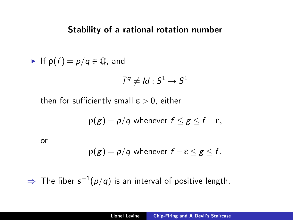#### Stability of a rational rotation number

• If 
$$
p(f) = p/q \in \mathbb{Q}
$$
, and

$$
\bar{f}^q \neq Id: S^1 \to S^1
$$

then for sufficiently small  $\varepsilon > 0$ , either

$$
\rho(g) = p/q
$$
 whenever  $f \le g \le f + \varepsilon$ ,

or

$$
\rho(g) = p/q
$$
 whenever  $f - \varepsilon \le g \le f$ .

 $\Rightarrow$  The fiber  $s^{-1}(p/q)$  is an interval of positive length.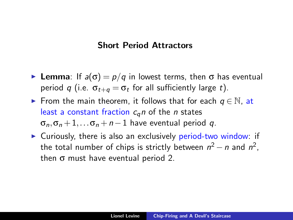#### Short Period Attractors

- **Lemma**: If  $a(\sigma) = p/q$  in lowest terms, then  $\sigma$  has eventual period q (i.e.  $\sigma_{t+\alpha} = \sigma_t$  for all sufficiently large t).
- From the main theorem, it follows that for each  $q \in \mathbb{N}$ , at least a constant fraction  $c_q$ n of the n states  $\sigma_n, \sigma_n + 1, \ldots, \sigma_n + n - 1$  have eventual period q.
- $\triangleright$  Curiously, there is also an exclusively period-two window: if the total number of chips is strictly between  $n^2 - n$  and  $n^2$ , then  $σ$  must have eventual period 2.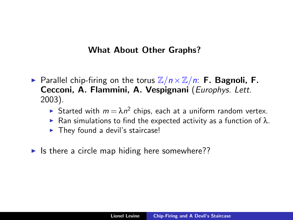## What About Other Graphs?

- **Parallel chip-firing on the torus**  $\mathbb{Z}/n \times \mathbb{Z}/n$ **: F. Bagnoli, F.** Cecconi, A. Flammini, A. Vespignani (Europhys. Lett. 2003).
	- Started with  $m = \lambda n^2$  chips, each at a uniform random vertex.
	- **F** Ran simulations to find the expected activity as a function of  $\lambda$ .
	- $\blacktriangleright$  They found a devil's staircase!
- If Is there a circle map hiding here somewhere??